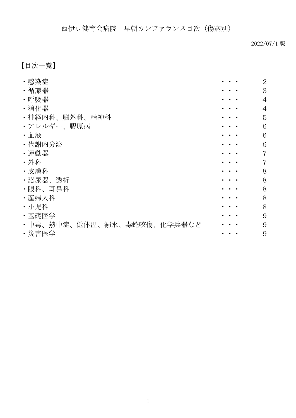2022/07/1 版

# 【目次一覧】

| ・感染症                       | $\overline{2}$ |
|----------------------------|----------------|
| ・循環器                       | 3              |
| ・呼吸器                       | $\overline{4}$ |
| ・消化器                       | $\overline{4}$ |
| ・神経内科、脳外科、精神科              | 5              |
| ・アレルギー、膠原病                 | 6              |
| ・血液                        | 6              |
| ・代謝内分泌                     | 6              |
| ・運動器                       | $\overline{7}$ |
| ・外科                        | $\overline{7}$ |
| ・皮膚科                       | 8              |
| ・泌尿器、透析                    | 8              |
| ・眼科、耳鼻科                    | 8              |
| ・産婦人科                      | 8              |
| ・小児科                       | 8              |
| ・基礎医学                      | 9              |
| ・中毒、熱中症、低体温、溺水、毒蛇咬傷、化学兵器など | 9              |
| ・災害医学                      | 9              |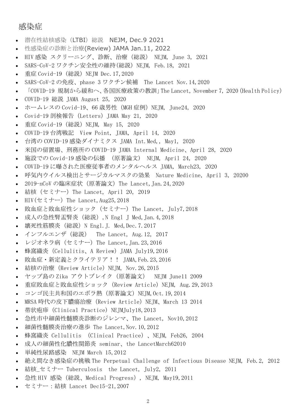## <span id="page-1-0"></span>感染症

- 潜在性結核感染(LTBI)総説 [NEJM, Dec.9 2021](http://www.nishiizu.gr.jp/intro/conference/2022/conference_2022_11.pdf)
- 性感染症の診断と治療[\(Review\) JAMA Jan.11, 2022](https://nishiizu.gr.jp/intro/conference/2022/conference_2022_02.pdf)
- HIV 感染 [スクリーニング、診断、治療\(総説\)](http://www.nishiizu.gr.jp/intro/conference/2021/conference_2021_10.pdf) NEJM, June 3, 2021
- SARS-CoV-2 [ワクチン安全性の維持\(総説\) NEJM, Feb.18, 2021](http://www.nishiizu.gr.jp/intro/conference/2021/conference_2021_08.pdf)
- 重症 Covid-19 (総説) NEJM Dec. 17, 2020
- SARS-CoV-2 の免疫、phase 3 ワクチン候補 [The Lancet Nov.14,2020](http://www.nishiizu.gr.jp/intro/conference/2020/conference_2020_29.pdf)
- 「COVID-19 規制から緩和へ、各国医療政策の教訓」The Lancet, November 7, 2020 (Health Policy)
- COVID-19 総説 [JAMA August 25, 2020](http://www.nishiizu.gr.jp/intro/conference/2020/conference_2020_23.pdf)
- ホームレスの Covid-19、66 歳男性 (MGH 症例) NEJM, June24, 2020
- Covid-19 [剖検報告\(Letters\)JAMA May 21, 2020](http://www.nishiizu.gr.jp/intro/conference/2020/conference_2020_14.pdf)
- 重症 Covid-19 (総説) NEJM, May 15, 2020
- COVID-19 台湾戦記 [View Point, JAMA, April 14, 2020](http://www.nishiizu.gr.jp/intro/conference/2020/conference_2020_12.pdf)
- 台湾の COVID-19 感染ダイナミクス [JAMA Int.Med,, May1, 2020](http://www.nishiizu.gr.jp/intro/conference/2020/conference_2020_11.pdf)
- 米国の留置場、刑務所の [COVID-19 JAMA Internal Medicine、April 28, 2020](http://www.nishiizu.gr.jp/intro/conference/2020/conference_2020_10.pdf)
- 施設での Covid-19 感染の伝播 (原著論文) [NEJM, April 24, 2020](http://www.nishiizu.gr.jp/intro/conference/2020/conference_2020_09.pdf)
- COVID-19 [に曝された医療従事者のメンタルヘルス](http://www.nishiizu.gr.jp/intro/conference/2020/conference_2020_08.pdf) JAMA, March23, 2020
- [呼気内ウイルス検出とサージカルマスクの効果](http://www.nishiizu.gr.jp/intro/conference/2020/conference_2020_07.pdf) Nature Medicine, April 3, 20200
- 2019-nCoV [の臨床症状\(原著論文\)The Lancet,Jan.24,2020](http://www.nishiizu.gr.jp/intro/conference/2020/conference_2020_03.pdf)
- **結核 (セミナー) The Lancet, April 20, 2019**
- $HIV(\pm \xi \pm -)$  The Lancet, Aug25, 2018
- 敗血症と敗血症性ショック (セミナー) The Lancet, July7,2018
- [成人の急性腎盂腎炎\(総説\),N Engl J Med,Jan.4,2018](http://www.nishiizu.gr.jp/intro/conference/h30/conference-30_01.pdf)
- 壊死性筋膜炎 (総説) N Engl. J. Med, Dec. 7.2017
- インフルエンザ(総説) [The Lancet, Aug.12, 2017](http://www.nishiizu.gr.jp/intro/conference/h29/conference-29_12.pdf)
- **•** レジオネラ病 (セミナー) The Lancet, Jan. 23, 2016
- 蜂窩織炎 (Cellulitis、A Review) JAMA July19,2016
- [敗血症・新定義とクライテリア!!](http://www.nishiizu.gr.jp/intro/conference/h28/conference-28_07.pdf) JAMA,Feb.23,2016
- [結核の治療\(Review Article\)NEJM, Nov.26,2015](http://www.nishiizu.gr.jp/intro/conference/h28/conference-28_06.pdf)
- ヤップ島の Zika アウトブレイク (原著論文) NEJM June11 2009
- 重症敗血症と敗血症性ショック (Review Article) NEJM, Aug.29,2013
- [コンゴ民主共和国のエボラ熱\(原著論文\)NEJM,Oct.19,2014](http://www.nishiizu.gr.jp/intro/conference/h26/conference-26_17.pdf)
- MRSA 時代の皮下膿瘍治療 (Review Article) NEIM、March 13 2014
- [帯状疱疹\(Clinical Practice\) NEJMJuly18,2013](http://www.nishiizu.gr.jp/intro/conference/h25/conference-25_08.pdf)
- [急性市中細菌性髄膜炎診断のジレンマ、The Lancet, Nov10,2012](http://www.nishiizu.gr.jp/intro/conference/h25/conference-25_06.pdf)
- 細菌性髄膜炎治療の進歩 [The Lancet,Nov.10,2012](http://www.nishiizu.gr.jp/intro/conference/h25/conference-25_05.pdf)
- 蜂窩織炎 [Cellulitis \(Clinical Practice\)、NEJM, Feb26, 2004](http://www.nishiizu.gr.jp/intro/conference/h24/conference-24_06.pdf)
- 成人の細菌性化膿性関節炎 [seminar、the LancetMarch62010](http://www.nishiizu.gr.jp/intro/conference/h24/conference-24_04.pdf)
- 単純性尿路感染 [NEJM March 15,2012](http://www.nishiizu.gr.jp/intro/conference/h24/conference-24_03.pdf)
- 絶え間なき感染症の挑戦 [The Perpetual Challenge of Infectious Disease NEJM, Feb.2, 2012](http://www.nishiizu.gr.jp/intro/conference/h24/conference-24_02.pdf)
- 結核\_セミナー Tuberculosis [the Lancet, July2, 2011](http://www.nishiizu.gr.jp/intro/conference/h23/conference-23_14.pdf)
- 急性 HIV 感染(総説、Medical Progress),NEJM, May19,2011
- セミナー:結核 [Lancet Dec15-21,2007](http://www.nishiizu.gr.jp/intro/conference/h20/conference-20_01.pdf)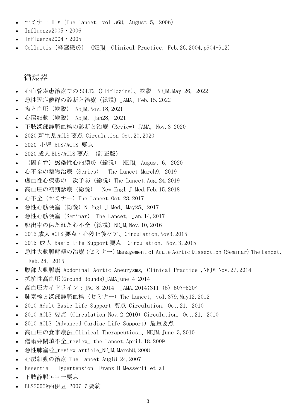- $\bullet$  セミナー HIV (The Lancet, vol 368, August 5, 2006)
- $\bullet$  Influenza2005 $\cdot$ 2006
- [Influenza2004・2005](http://www.nishiizu.gr.jp/intro/conference/h16/conference-16_08.pdf)
- Celluitis (蜂窩織炎) (NEIM, Clinical Practice, Feb. 26.2004, p904-912)

#### <span id="page-2-0"></span>循環器

- 心血管疾患治療での SGLT2 (Gliflozins)、総説 NEJM,May 26, 2022
- [急性冠症候群の診断と治療\(総説\)JAMA、Feb.15.2022](https://nishiizu.gr.jp/intro/conference/2022/conference_2022_03.pdf)
- 塩と血圧(総説) [NEJM,Nov.18,2021](http://www.nishiizu.gr.jp/intro/conference/2021/conference_2021_18.pdf)
- 心房細動(総説) [NEJM, Jan28, 2021](http://www.nishiizu.gr.jp/intro/conference/2021/conference_2021_04.pdf)
- [下肢深部静脈血栓の診断と治療\(Review\)JAMA, Nov.3 2020](http://www.nishiizu.gr.jp/intro/conference/2021/conference_2021_02.pdf)
- 2020 新生児 ACLS 要点 [Circulation Oct.20,2020](http://www.nishiizu.gr.jp/intro/conference/2020/conference_2020_27.pdf)
- 2020 小児 [BLS/ACLS 要点](http://www.nishiizu.gr.jp/intro/conference/2020/conference_2020_26.pdf)
- 2020 成人 BLS/ACLS 要点 [\(訂正版\)](http://www.nishiizu.gr.jp/intro/conference/2020/conference_2020_25.pdf)
- (固有弁)感染性心内膜炎 (総説) NEJM, August 6, 2020
- 心不全の薬物治療 (Series) The Lancet March9, 2019
- [虚血性心疾患の一次予防\(総説\)The Lancet,Aug.24,2019](http://www.nishiizu.gr.jp/intro/conference/2019/conference_2019_17.pdf)
- 高血圧の初期診療(総説) [New Engl J Med,Feb.15,2018](http://www.nishiizu.gr.jp/intro/conference/h30/conference-30_05_2.pdf)
- 心不全 (セミナー) The Lancet, Oct. 28, 2017
- [急性心筋梗塞\(総説\)N Engl J Med、May25、2017](http://www.nishiizu.gr.jp/intro/conference/h29/conference-29_05.pdf)
- [急性心筋梗塞\(Seminar\)](http://www.nishiizu.gr.jp/intro/conference/h29/conference-29_02.pdf) The Lancet, Jan.14,2017
- [駆出率の保たれた心不全\(総説\)NEJM,Nov.10,2016](http://www.nishiizu.gr.jp/intro/conference/h28/conference-28_19.pdf)
- 2015 成人 ACLS [要点・心停止後ケア、Circulation,Nov3,2015](http://www.nishiizu.gr.jp/intro/conference/h27/conference-27_14.pdf)
- 2015 成人 Basic Life Support 要点 Circulation, Nov. 3, 2015
- 急性大動脈解離の治療 (セミナー) Management of Acute Aortic Dissection (Seminar) The Lancet、 [Feb.28, 2015](http://www.nishiizu.gr.jp/intro/conference/h27/conference-27_05.pdf)
- 腹部大動脈瘤 [Abdominal Aortic Aneurysms, Clinical Practice ,NEJM Nov.27,2014](http://www.nishiizu.gr.jp/intro/conference/h27/conference-27_04.pdf)
- [抵抗性高血圧\(Ground Rounds\)JAMAJune 4 2014](http://www.nishiizu.gr.jp/intro/conference/h26/conference-26_10.pdf)
- [高血圧ガイドライン:JNC 8 2014](http://www.nishiizu.gr.jp/intro/conference/h26/conference-26_02.pdf) JAMA.2014;311 (5) 507-520く
- 肺塞栓と深部静脈血栓 [\(セミナー\) The Lancet, vol.379,May12,2012](http://www.nishiizu.gr.jp/intro/conference/h24/conference-24_07.pdf)
- [2010 Adult Basic Life Support 要点](http://www.nishiizu.gr.jp/intro/conference/h22/conference-22_03.pdf) Circulation, Oct.21, 2010
- 2010 ACLS 要点 (Circulation Nov. 2, 2010) Circulation, Oct. 21, 2010
- 2010 ACLS (Advanced Cardiac Life Support) 最重要点
- 高血圧の食事療法 Clinical Therapeutics 、NEJM,June 3,2010
- 僧帽弁閉鎖不全 review the Lancet,April.18.2009
- [急性肺塞栓\\_review article\\_NEJM,March8,2008](http://www.nishiizu.gr.jp/intro/conference/h20/conference-20_06.pdf)
- 心房細動の治療 [The Lancet Aug18-24,2007](http://www.nishiizu.gr.jp/intro/conference/h19/conference-19_13.pdf)
- Essential Hypertension [Franz H Messerli et al](http://www.nishiizu.gr.jp/intro/conference/h19/conference-19_09.pdf)
- [下肢静脈エコー要点](http://www.nishiizu.gr.jp/intro/conference/h19/conference-19_07.pdf)
- [BLS2005@西伊豆](http://www.nishiizu.gr.jp/intro/conference/h19/conference-19_06.pdf) 2007 7 要約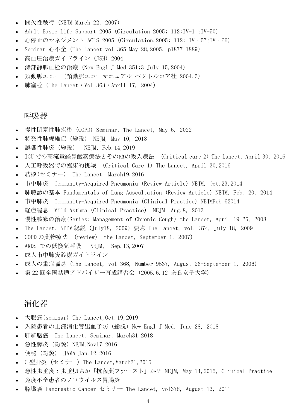- 間欠性跛行 (NEJM March 22, 2007)
- Adult Basic Life Support 2005 (Circulation 2005; 112:IV-1 ?IV-50)
- 心停止のマネジメント ACLS 2005 (Circulation.2005; 112: IV‐57?IV‐66)
- [Seminar 心不全\(The Lancet vol 365 May 28,2005. p1877-1889\)](http://www.nishiizu.gr.jp/intro/conference/h17/conference-17_10.pdf)
- **高血圧治療ガイドライン (JSH) 2004**
- 深部静脈血栓の治療 (New Engl J Med 351;3 July 15,2004)
- [頚動脈エコー\(頚動脈エコーマニュアル](http://www.nishiizu.gr.jp/intro/conference/h16/conference-16_05.pdf) ベクトルコア社 2004.3)
- 肺塞栓 (The Lancet  $\cdot$  Vol 363  $\cdot$  April 17, 2004)

#### <span id="page-3-0"></span>呼吸器

- [慢性閉塞性肺疾患\(COPD\)Seminar、The Lancet, May 6, 2022](https://nishiizu.gr.jp/intro/conference/2022/conference_2022_08.pdf)
- [特発性肺線維症\(総説\)](http://www.nishiizu.gr.jp/intro/conference/2020/conference_2020_22.pdf) NEJM, May 10, 2018
- [誤嚥性肺炎\(総説\)](http://www.nishiizu.gr.jp/intro/conference/2019/conference_2019_03.pdf) NEJM、Feb.14,2019
- ICU での高流量経鼻酸素療法とその他の吸入療法 [\(Critical care 2\) The Lancet, April 30, 2016](http://www.nishiizu.gr.jp/intro/conference/h28/conference-28_11.pdf)
- 人工呼吸器での臨床的挑戦 (Critical Care 1) The Lancet, April 30,2016
- **結核(セミナー) [The Lancet, March19,2016](http://www.nishiizu.gr.jp/intro/conference/h28/conference-28_09.pdf)**
- 市中肺炎 [Community-Acquired Pneumonia \(Review Article\) NEJM, Oct.23,2014](http://www.nishiizu.gr.jp/intro/conference/h27/conference-27_08.pdf)
- 肺聴診の基本 [Fundamentals of Lung Auscultation \(Review Article\) NEJM, Feb. 20, 2014](http://www.nishiizu.gr.jp/intro/conference/h26/conference-26_06.pdf)
- 市中肺炎 Community-Acquired Pneumonia (Clinical Practice) NEJMFeb 62014
- 軽症喘息 Mild Asthma (Clinical Practice) NEJM Aug.8, 2013
- [慢性咳嗽の治療\(Series: Management of Chronic Cough\) the Lancet, April 19-25, 2008](http://www.nishiizu.gr.jp/intro/conference/h23/conference-23_09.pdf)
- The Lancet、NPPV 総説 (July18, 2009) 要点 [The Lancet, vol. 374, July 18, 2009](http://www.nishiizu.gr.jp/intro/conference/h22/conference-22_02.pdf)
- COPD の薬物療法 (review) [the Lancet, September 1, 2007\)](http://www.nishiizu.gr.jp/intro/conference/h20/conference-20_09.pdf)
- [ARDS での低換気呼吸](http://www.nishiizu.gr.jp/intro/conference/h19/conference-19_15.pdf) NEJM、 Sep.13,2007
- [成人市中肺炎診療ガイドライン](http://www.nishiizu.gr.jp/intro/conference/h18/conference-18_04.pdf)
- [成人の重症喘息\(The Lancet, vol 368, Number 9537, August 26-September 1, 2006\)](http://www.nishiizu.gr.jp/intro/conference/h18/conference-18_10.pdf)
- 第 22 [回全国禁煙アドバイザー育成講習会\(2005.6.12 奈良女子大学\)](http://www.nishiizu.gr.jp/intro/conference/h17/conference-17_05.pdf)

## <span id="page-3-1"></span>消化器

- 大腸癌(seminar) The Lancet, Oct. 19, 2019
- [入院患者の上部消化管出血予防\(総説\)New Engl J Med, June 28, 2018](http://www.nishiizu.gr.jp/intro/conference/h30/conference-30_12.pdf)
- 肝細胞癌 The Lancet, Seminar, March31, 2018
- 急性膵炎 (総説) NEJM, Nov17, 2016
- 便秘(総説) [JAMA Jan.12,2016](http://www.nishiizu.gr.jp/intro/conference/h28/conference-28_17.pdf)
- C 型肝炎 (セミナー) The Lancet,March21,2015
- [急性虫垂炎:虫垂切除か「抗菌薬ファースト」か?](http://www.nishiizu.gr.jp/intro/conference/h27/conference-27_06.pdf) NEJM, May 14,2015, Clinical Practice
- [免疫不全患者のノロウイルス胃腸炎](http://www.nishiizu.gr.jp/intro/conference/h25/conference-25_02.pdf)
- 膵臓癌 Pancreatic Cancer セミナー [The Lancet, vol378, August 13, 2011](http://www.nishiizu.gr.jp/intro/conference/h23/conference-23_15.pdf)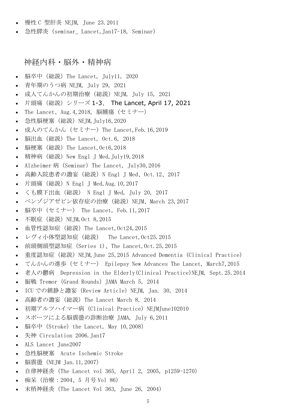- 慢性 C 型肝炎 NEIM, June 23.2011
- 急性膵炎 (seminar Lancet, Jan17-18, Seminar)

## <span id="page-4-0"></span>神経内科・脳外・精神病

- [脳卒中\(総説\)The Lancet, July11, 2020](http://www.nishiizu.gr.jp/intro/conference/2021/conference_2021_15.pdf)
- 青年期のうつ病 [NEJM, July 29, 2021](http://www.nishiizu.gr.jp/intro/conference/2021/conference_2021_13.pdf)
- [成人てんかんの初期治療\(総説\)NEJM, July 15, 2021](http://www.nishiizu.gr.jp/intro/conference/2021/conference_2021_12.pdf)
- **•** 片頭痛(総説)シリーズ 1-3、 [The Lancet, April 17, 2021](http://www.nishiizu.gr.jp/intro/conference/2021/conference_2021_09.pdf)
- The Lancet、Aug. 4, 2018, 脳腫瘍 (セミナー)
- 急性脳梗塞 (総説) NEJM, July16, 2020
- [成人のてんかん\(セミナー\)The Lancet,Feb.16,2019](http://www.nishiizu.gr.jp/intro/conference/2019/conference_2019_15.pdf)
- [脳出血\(総説\)The Lancet, Oct.6, 2018](http://www.nishiizu.gr.jp/intro/conference/2019/conference_2019_02.pdf)
- [脳梗塞\(総説\)The Lancet,Oct6,2018](http://www.nishiizu.gr.jp/intro/conference/2019/conference_2019_01.pdf)
- [精神病\(総説\)New Engl J Med,July19,2018](http://www.nishiizu.gr.jp/intro/conference/h30/conference-30_14.pdf)
- Alzheimer 病 (Seminar) The Lancet, July30, 2016
- [高齢入院患者の譫妄\(総説\)N Engl J Med、Oct.12、2017](http://www.nishiizu.gr.jp/intro/conference/h29/conference-29_10.pdf)
- [片頭痛\(総説\)N Engl J Med,Aug.10,2017](http://www.nishiizu.gr.jp/intro/conference/h29/conference-29_07.pdf)
- くも膜下出血(総説) [N Engl J Med, July 20, 2017](http://www.nishiizu.gr.jp/intro/conference/h29/conference-29_06.pdf)
- [ベンゾジアゼピン依存症の治療\(総説\)NEJM、March 23,2017](http://www.nishiizu.gr.jp/intro/conference/h29/conference-29_04.pdf)
- 脳卒中(セミナー) [The Lancet, Feb.11,2017](http://www.nishiizu.gr.jp/intro/conference/h29/conference-29_03.pdf)
- 不眠症 (総説) NEJM, Oct 8, 2015
- [血管性認知症\(総説\)The Lancet,Oct24,2015](http://www.nishiizu.gr.jp/intro/conference/h28/conference-28_03.pdf)
- [レヴィ小体型認知症\(総説\)](http://www.nishiizu.gr.jp/intro/conference/h28/conference-28_01.pdf) The Lancet,Oct25.2015
- [前頭側頭型認知症\(Series 1\)、The Lancet,Oct.25,2015](http://www.nishiizu.gr.jp/intro/conference/h27/conference-27_15.pdf)
- [重度認知症\(総説\)NEJM,June 25,2015 Advanced Dementia \(Clinical Practice\)](http://www.nishiizu.gr.jp/intro/conference/h27/conference-27_09.pdf)
- てんかんの進歩(セミナー) [Epilepsy New Advances The Lancet, March7,2015](http://www.nishiizu.gr.jp/intro/conference/h27/conference-27_07.pdf)
- 老人の鬱病 [Depression in the Elderly\(Clinical Practice\)NEJM, Sept.25.2014](http://www.nishiizu.gr.jp/intro/conference/h26/conference-26_15.pdf)
- 振戦 Tremor (Grand Rounds) JAMA March 5, 2014
- ICU での鎮静と譫妄 (Review Article) NEIM, Jan. 30, 2014
- [高齢者の譫妄\(総説\)The Lancet March 8, 2014](http://www.nishiizu.gr.jp/intro/conference/h26/conference-26_05.pdf)
- [初期アルツハイマー病\(Clinical Practice\) NEJMJune102010](http://www.nishiizu.gr.jp/intro/conference/h24/conference-24_05.pdf)
- [スポーツによる脳震盪の診断治療](http://www.nishiizu.gr.jp/intro/conference/h23/conference-23_13.pdf) JAMA, July 6,2011
- 脳卒中 (Stroke) the Lancet, May  $10,2008$ )
- 失神 Circulation 2006. Jan17
- [ALS Lancet June2007](http://www.nishiizu.gr.jp/intro/conference/h19/conference-19_12.pdf)
- 急性脳梗塞 [Acute Ischemic Stroke](http://www.nishiizu.gr.jp/intro/conference/h19/conference-19_08.pdf)
- [脳震盪\(NEJM Jan.11,2007\)](http://www.nishiizu.gr.jp/intro/conference/h19/conference-19_02.pdf)
- 自律神経炎 (The Lancet vol 365, April 2, 2005, p1259-1270)
- [痴呆\(治療:2004、5 月号](http://www.nishiizu.gr.jp/intro/conference/h17/conference-17_13.pdf) Vol 86)
- 末梢神経炎 (The Lancet Vol 363, June 26, 2004)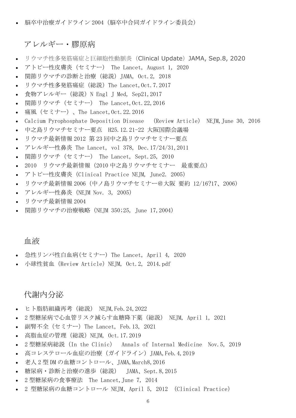脳卒中治療ガイドライン [2004\(脳卒中合同ガイドライン委員会\)](http://www.nishiizu.gr.jp/intro/conference/h16/conference-16_11.pdf)

#### <span id="page-5-0"></span>アレルギー・膠原病

- [リウマチ性多発筋痛症と巨細胞性動脈炎\(](http://www.nishiizu.gr.jp/intro/conference/2022/conference_2022_10.pdf)Clinical Update)JAMA, Sep.8, 2020
- [アトピー性皮膚炎\(セミナー\)](http://www.nishiizu.gr.jp/intro/conference/2020/conference_2020_21.pdf) The Lancet, August 1, 2020
- [関節リウマチの診断と治療\(総説\)JAMA, Oct.2, 2018](http://www.nishiizu.gr.jp/intro/conference/h30/conference-30_17.pdf)
- [リウマチ性多発筋痛症\(総説\)The Lancet,Oct.7.2017](http://www.nishiizu.gr.jp/intro/conference/h29/conference-29_13.pdf)
- [食物アレルギー\(総説\)N Engl J Med, Sep21,2017](http://www.nishiizu.gr.jp/intro/conference/h29/conference-29_09.pdf)
- **[関節リウマチ\(セミナー\)](http://www.nishiizu.gr.jp/intro/conference/h29/conference-29_01.pdf) The Lancet,Oct.22,2016**
- **痛風 (セミナー) 、The Lancet, Oct. 22. 2016**
- [Calcium Pyrophosphate Deposition Disease](http://www.nishiizu.gr.jp/intro/conference/h28/conference-28_13.pdf) (Review Article) NEJM,June 30, 2016
- 中之島リウマチセミナー要点 [H25.12.21-22 大阪国際会議場](http://www.nishiizu.gr.jp/intro/conference/h26/conference-26_01.pdf)
- リウマチ最新情報 2012 第 23 [回中之島リウマチセミナー要点](http://www.nishiizu.gr.jp/intro/conference/h25/conference-25_01.pdf)
- アレルギー性鼻炎 The Lancet, vol 378, Dec. 17/24/31, 2011
- 関節リウマチ(セミナー) [The Lancet, Sept.25, 2010](http://www.nishiizu.gr.jp/intro/conference/h23/conference-23_02.pdf)
- 2010 [リウマチ最新情報\(2010](http://www.nishiizu.gr.jp/intro/conference/h22/conference-22_07.pdf) 中之島リウマチセミナー 最重要点)
- [アトピー性皮膚炎\(Clinical Practice NEJM, June2. 2005\)](http://www.nishiizu.gr.jp/intro/conference/h20/conference-20_08.pdf)
- リウマチ最新情報 [2006\(中ノ島リウマチセミナー@大阪](http://www.nishiizu.gr.jp/intro/conference/h18/conference-18_03.pdf) 要約 12/16?17、2006)
- [アレルギー性鼻炎\(NEJM Nov. 3, 2005\)](http://www.nishiizu.gr.jp/intro/conference/h18/conference-18_02.pdf)
- [リウマチ最新情報](http://www.nishiizu.gr.jp/intro/conference/h16/conference-16_02.pdf) 2004
- [関節リウマチの治療戦略\(NEJM 350;25, June 17,2004\)](http://www.nishiizu.gr.jp/intro/conference/h16/conference-16_09.pdf)

## <span id="page-5-1"></span>血液

- [急性リンパ性白血病\(セミナー\) The Lancet, April 4, 2020](http://www.nishiizu.gr.jp/intro/conference/2020/conference_2020_20.pdf)
- 小球性貧血 (Review Article) NEJM, Oct.2, 2014.pdf

## <span id="page-5-2"></span>代謝内分泌

- [ヒト脂肪組織再考\(総説\)](https://nishiizu.gr.jp/intro/conference/2022/conference_2022_04.pdf) NEJM,Feb.24,2022
- 2 [型糖尿病で心血管リスク減らす血糖降下薬\(総説\)](http://www.nishiizu.gr.jp/intro/conference/2021/conference_2021_07.pdf) NEJM, April 1, 2021
- [副腎不全\(セミナー\)The Lancet, Feb.13, 2021](http://www.nishiizu.gr.jp/intro/conference/2021/conference_2021_06.pdf)
- [高脂血症の管理\(総説\)NEJM, Oct.17.2019](http://www.nishiizu.gr.jp/intro/conference/2020/conference_2020_02.pdf)
- 2 [型糖尿病総説\(In the Clinic\)](http://www.nishiizu.gr.jp/intro/conference/2020/conference_2020_01.pdf) Annals of Internal Medicine Nov.5, 2019
- 高コレステロール血症の治療 (ガイドライン) JAMA,Feb.4,2019
- 老人 2 型 DM [の血糖コントロール、JAMA,March8,2016](http://www.nishiizu.gr.jp/intro/conference/h28/conference-28_08.pdf)
- [糖尿病・診断と治療の進歩\(総説\)](http://www.nishiizu.gr.jp/intro/conference/h27/conference-27_12.pdf) JAMA、Sept.8,2015
- 2 型糖尿病の食事療法 [The Lancet,June 7, 2014](http://www.nishiizu.gr.jp/intro/conference/h26/conference-26_18.pdf)
- 2 型糖尿病の血糖コントロール [NEJM、April 5, 2012 \(Clinical Practice\)](http://www.nishiizu.gr.jp/intro/conference/h24/conference-24_08.pdf)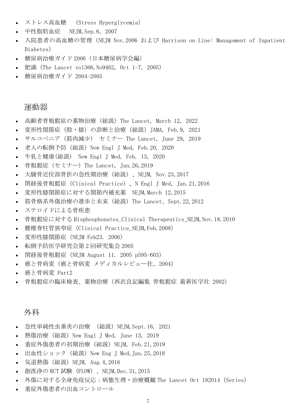- ストレス高血糖 [\(Stress Hyperglycemia\)](http://www.nishiizu.gr.jp/intro/conference/h21/conference-21_05.pdf)
- 中性脂肪血症 [NEJM,Sep.6, 2007](http://www.nishiizu.gr.jp/intro/conference/h19/conference-19_14.pdf)
- [入院患者の高血糖の管理\(NEJM Nov.2006 および](http://www.nishiizu.gr.jp/intro/conference/h19/conference-19_03.pdf) Harrison on Line: Management of Inpatient [Diabetes\)](http://www.nishiizu.gr.jp/intro/conference/h19/conference-19_03.pdf)
- 糖尿病治療ガイド [2006\(日本糖尿病学会編\)](http://www.nishiizu.gr.jp/intro/conference/h18/conference-18_09.pdf)
- 肥満 (The Lancet vol366, No9462, Oct 1-7, 2005)
- [糖尿病治療ガイド](http://www.nishiizu.gr.jp/intro/conference/h17/conference-17_07.pdf) 2004-2005

## <span id="page-6-0"></span>運動器

- [高齢者骨粗鬆症の薬物治療\(総説\)The Lancet, March 12, 2022](https://nishiizu.gr.jp/intro/conference/2022/conference_2022_05.pdf)
- [変形性関節症\(股・膝\)の診断と治療\(総説\)JAMA, Feb.9, 2021](http://www.nishiizu.gr.jp/intro/conference/2021/conference_2021_05.pdf)
- サルコペニア(筋肉減少) セミナー [The Lancet, June 29, 2019](http://www.nishiizu.gr.jp/intro/conference/2020/conference_2020_15.pdf)
- [老人の転倒予防\(総説\)New Engl J Med,](http://www.nishiizu.gr.jp/intro/conference/2020/conference_2020_06.pdf) Feb.20, 2020
- 牛乳と健康(総説) [New Engl J Med, Feb. 13, 2020](http://www.nishiizu.gr.jp/intro/conference/2020/conference_2020_05.pdf)
- 骨粗鬆症 (セミナー) The Lancet, Jan. 26, 2019
- [大腿骨近位部骨折の急性期治療\(総説\)、NEJM, Nov.23,2017](http://www.nishiizu.gr.jp/intro/conference/h30/conference-30_08.pdf)
- 閉経後骨粗鬆症 (Clinical Practice)、N Engl J Med, Jan. 21, 2016
- [変形性膝関節症に対する関節内補充薬](http://www.nishiizu.gr.jp/intro/conference/h27/conference-27_03.pdf) NEJM,March 12,2015
- [筋骨格系外傷治療の進歩と未来\(総説\)The Lancet、Sept.22,2012](http://www.nishiizu.gr.jp/intro/conference/h25/conference-25_03.pdf)
- [ステロイドによる骨疾患](http://www.nishiizu.gr.jp/intro/conference/h23/conference-23_17.pdf)
- 骨粗鬆症に対する [Bisphosphonates\\_Clinical Therapeutics\\_NEJM,Nov.18.2010](http://www.nishiizu.gr.jp/intro/conference/h22/conference-22_06.pdf)
- [腰椎脊柱管狭窄症\(Clinical Practice\\_NEJM,Feb.2008\)](http://www.nishiizu.gr.jp/intro/conference/h20/conference-20_07.pdf)
- [変形性膝関節症\(NEJM Feb23. 2006\)](http://www.nishiizu.gr.jp/intro/conference/h18/conference-18_05.pdf)
- [転倒予防医学研究会第](http://www.nishiizu.gr.jp/intro/conference/h17/conference-17_16.pdf) 2 回研究集会 2005
- [閉経後骨粗鬆症\(NEJM August 11. 2005 p595-603\)](http://www.nishiizu.gr.jp/intro/conference/h17/conference-17_14.pdf)
- 癌と骨病変(癌と骨病変 [メディカルレビュー社、2004\)](http://www.nishiizu.gr.jp/intro/conference/h16/conference-16_03.pdf)
- [癌と骨病変](http://www.nishiizu.gr.jp/intro/conference/h16/conference-16_04.pdf) Part2
- [骨粗鬆症の臨床検査、薬物治療\(西沢良記編集](http://www.nishiizu.gr.jp/intro/conference/h16/conference-16_10.pdf) 骨粗鬆症 最新医学社 2002)

## <span id="page-6-1"></span>外科

- 急性単純性虫垂炎の治療 (総説) NEJM, Sept. 16, 2021
- 熱傷治療 (総説) New Engl J Med, June 13, 2019
- [重症外傷患者の初期治療\(総説\)NEJM, Feb.21,2019](http://www.nishiizu.gr.jp/intro/conference/2019/conference_2019_04.pdf)
- [出血性ショック\(総説\)New Eng J Med,Jan.25,2018](http://www.nishiizu.gr.jp/intro/conference/h30/conference-30_02.pdf)
- [気道熱傷\(総説\)NEJM, Aug.4,2016](http://www.nishiizu.gr.jp/intro/conference/h28/conference-28_15.pdf)
- 創洗浄の RCT 試験(FLOW)、NEJM, Dec. 31, 2015
- [外傷に対する全身免疫反応:病態生理・治療概観](http://www.nishiizu.gr.jp/intro/conference/h27/conference-27_01.pdf) The Lancet Oct 182014(Series)
- [重症外傷患者の出血コントロール](http://www.nishiizu.gr.jp/intro/conference/h24/conference-24_11.pdf)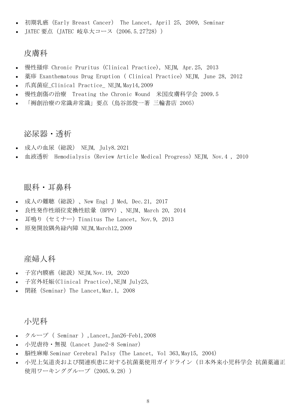- 初期乳癌(Early Breast Cancer) [The Lancet, April 25, 2009, Seminar](http://www.nishiizu.gr.jp/intro/conference/h23/conference-23_07.pdf)
- JATEC [要点\(JATEC 岐阜大コース\(2006.5.27?28\)\)](http://www.nishiizu.gr.jp/intro/conference/h18/conference-18_06.pdf)

## <span id="page-7-0"></span>皮膚科

- 慢性掻痒 [Chronic Pruritus \(Clinical Practice\), NEJM, Apr.25, 2013](http://www.nishiizu.gr.jp/intro/conference/h25/conference-25_07.pdf)
- 薬疹 [Exanthematous Drug Eruption \( Clinical Practice\) NEJM, June 28, 2012](http://www.nishiizu.gr.jp/intro/conference/h24/conference-24_10.pdf)
- 爪真菌症\_Clinical Practice\_ NEJM, May14, 2009
- 慢性創傷の治療 [Treating the Chronic Wound](http://www.nishiizu.gr.jp/intro/conference/h21/conference-21_03.pdf) 米国皮膚科学会 2009.5
- [「褥創治療の常識非常識」要点\(鳥谷部俊一著](http://www.nishiizu.gr.jp/intro/conference/h18/conference-18_01.pdf) 三輪書店 2005)

### <span id="page-7-1"></span>泌尿器・透析

- [成人の血尿\(総説\)](http://www.nishiizu.gr.jp/intro/conference/2021/conference_2021_11.pdf) NEJM, July8.2021
- 血液透析 [Hemodialysis\(Review Article Medical Progress\)NEJM, Nov.4 , 2010](http://www.nishiizu.gr.jp/intro/conference/h23/conference-23_01.pdf)

#### <span id="page-7-2"></span>眼科・耳鼻科

- [成人の難聴\(総説\)、New Engl J Med, Dec.21, 2017](http://www.nishiizu.gr.jp/intro/conference/h30/conference-30_06.pdf)
- [良性発作性頭位変換性眩暈\(BPPV\)、NEJM、March 20, 2014](http://www.nishiizu.gr.jp/intro/conference/h26/conference-26_09.pdf)
- [耳鳴り\(セミナー\)Tinnitus The Lancet, Nov.9, 2013](http://www.nishiizu.gr.jp/intro/conference/h26/conference-26_04.pdf)
- [原発開放隅角緑内障](http://www.nishiizu.gr.jp/intro/conference/h21/conference-21_01.pdf) NEJM,March12,2009

## <span id="page-7-3"></span>産婦人科

- 子宮内膜癌 (総説) NEJM, Nov. 19, 2020
- [子宮外妊娠\(Clinical Practice\),NEJM July23,](http://www.nishiizu.gr.jp/intro/conference/h21/conference-21_06.pdf)
- 閉経 (Seminar) The Lancet,Mar.1, 2008

#### <span id="page-7-4"></span>小児科

- クループ( [Seminar \),Lancet,Jan26-Feb1,2008](http://www.nishiizu.gr.jp/intro/conference/h20/conference-20_05.pdf)
- 小児虐待 無視 (Lancet June2-8 Seminar)
- 脳性麻痺 [Seminar Cerebral Palsy\(The Lancet, Vol 363,May15, 2004\)](http://www.nishiizu.gr.jp/intro/conference/h19/conference-19_04.pdf)
- [小児上気道炎および関連疾患に対する抗菌薬使用ガイドライン\(日本外来小児科学会](http://www.nishiizu.gr.jp/intro/conference/h17/conference-17_12.pdf) 抗菌薬適正 [使用ワーキンググループ\(2005.9.28\)\)](http://www.nishiizu.gr.jp/intro/conference/h17/conference-17_12.pdf)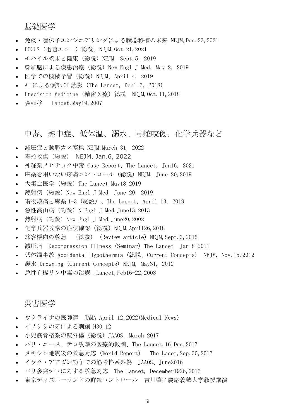#### <span id="page-8-0"></span>基礎医学

- [免疫・遺伝子エンジニアリングによる臓器移植の未来](https://nishiizu.gr.jp/intro/conference/2021/conference_2021_19.pdf) NEJM,Dec.23,2021
- [POCUS\(迅速エコー\)総説、NEJM,Oct.21,2021](http://www.nishiizu.gr.jp/intro/conference/2021/conference_2021_17.pdf)
- [モバイル端末と健康\(総説\)NEJM, Sept.5, 2019](http://www.nishiizu.gr.jp/intro/conference/2020/conference_2020_16.pdf)
- [幹細胞による疾患治療\(総説\)New Engl J Med, May 2, 2019](http://www.nishiizu.gr.jp/intro/conference/2019/conference_2019_09.pdf)
- [医学での機械学習\(総説\)NEJM、April 4, 2019](http://www.nishiizu.gr.jp/intro/conference/2019/conference_2019_08.pdf)
- AI による頭部 CT 読影 (The Lancet, Dec1-7, 2018)
- Precision Medicine (精密医療) 総説 NEJM,Oct.11,2018
- 癌転移 Lancet, May19, 2007

#### <span id="page-8-1"></span>中毒、熱中症、低体温、溺水、毒蛇咬傷、化学兵器など

- [減圧症と動脈ガス塞栓](http://www.nishiizu.gr.jp/intro/conference/2022/conference_2022_07.pdf) NEJM,March 31, 2022
- 毒蛇咬傷(総説) [NEJM, Jan.6, 2022](https://nishiizu.gr.jp/intro/conference/2022/conference_2022_01.pdf)
- 神経剤ノビチョク中毒 [Case Report、The Lancet, Jan16, 2021](http://www.nishiizu.gr.jp/intro/conference/2021/conference_2021_03.pdf)
- [麻薬を用いない疼痛コントロール\(総説\)NEJM, June 20,2019](http://www.nishiizu.gr.jp/intro/conference/2020/conference_2020_17.pdf)
- [大集会医学\(総説\)The Lancet,May18,2019](http://www.nishiizu.gr.jp/intro/conference/2019/conference_2019_14.pdf)
- 熱射病 (総説) New Engl J Med, June 20, 2019
- 術後鎮痛と麻薬 [1-3\(総説\)、The Lancet, April 13, 2019](http://www.nishiizu.gr.jp/intro/conference/2019/conference_2019_10.pdf)
- 急性高山病 (総説) N Engl J Med, June13, 2013
- 熱射病(総説)New Engl J Med, June20,2002
- [化学兵器攻撃の症状確認\(総説\)NEJM,April26,2018](http://www.nishiizu.gr.jp/intro/conference/h30/conference-30_09.pdf)
- 旅客機内の救急 (総説)(Review article)NEJM, Sept. 3, 2015
- 減圧病 [Decompression Illness \(Seminar\) The Lancet](http://www.nishiizu.gr.jp/intro/conference/h26/conference-26_13.pdf) Jan 8 2011
- 低体温事故 [Accidental Hypothermia \(総説、Current Concepts\)](http://www.nishiizu.gr.jp/intro/conference/h25/conference-25_04.pdf) NEJM, Nov.15,2012
- 溺水 [Drowning \(Current Concepts\) NEJM, May31, 2012](http://www.nishiizu.gr.jp/intro/conference/h24/conference-24_09.pdf)
- [急性有機リン中毒の治療](http://www.nishiizu.gr.jp/intro/conference/h20/conference-20_04.pdf) .Lancet,Feb16-22,2008

### <span id="page-8-2"></span>災害医学

- ウクライナの医師達 [JAMA April 12,2022\(Medical News\)](https://nishiizu.gr.jp/intro/conference/2022/conference_2022_06.pdf)
- [イノシシの牙による刺創](http://www.nishiizu.gr.jp/intro/conference/h30/conference-30_21.pdf) H30.12
- [小児筋骨格系の銃外傷\(総説\)JAAOS, March 2017](http://www.nishiizu.gr.jp/intro/conference/h30/conference-30_04.pdf)
- [パリ・ニース、テロ攻撃の医療的教訓、The Lancet,16 Dec.2017](http://www.nishiizu.gr.jp/intro/conference/h30/conference-30_03.pdf)
- [メキシコ地震後の救急対応\(World Report\)](http://www.nishiizu.gr.jp/intro/conference/h29/conference-29_11.pdf) The Lacet,Sep.30,2017
- [イラク・アフガン紛争での筋骨格系外傷](http://www.nishiizu.gr.jp/intro/conference/h28/conference-28_12.pdf) JAAOS、June2016
- パリ多発テロに対する救急対応 [The Lancet, December1926,2015](http://www.nishiizu.gr.jp/intro/conference/h28/conference-28_02.pdf)
- [東京ディズニーランドの群衆コントロール](http://www.nishiizu.gr.jp/intro/conference/h26/conference-26_12.pdf) 吉川肇子慶応義塾大学教授講演